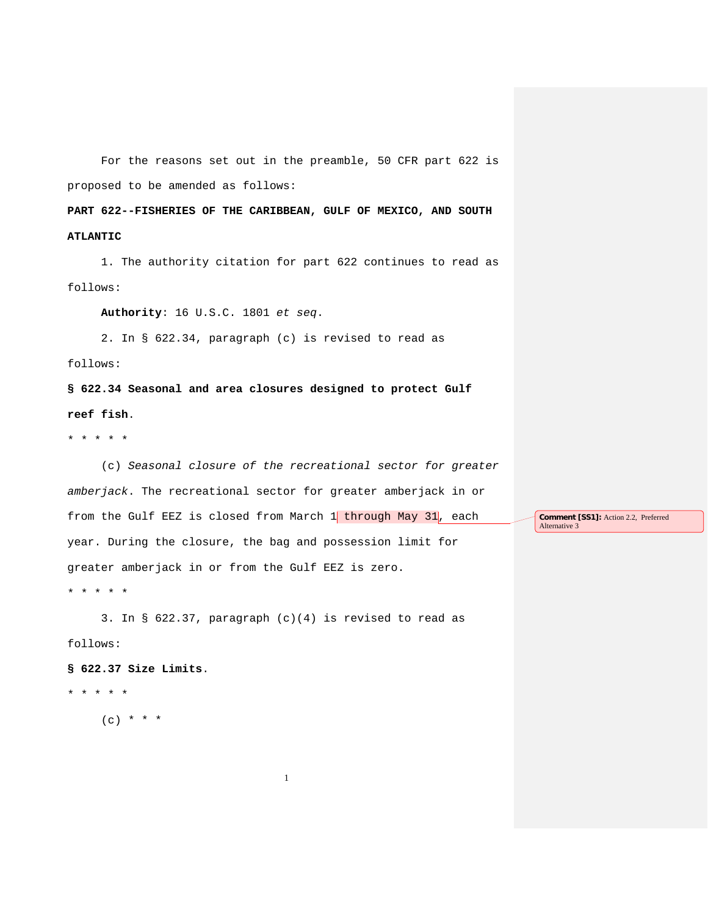For the reasons set out in the preamble, 50 CFR part 622 is proposed to be amended as follows:

**PART 622--FISHERIES OF THE CARIBBEAN, GULF OF MEXICO, AND SOUTH ATLANTIC**

1. The authority citation for part 622 continues to read as follows:

**Authority**: 16 U.S.C. 1801 *et seq*.

2. In § 622.34, paragraph (c) is revised to read as

follows:

**§ 622.34 Seasonal and area closures designed to protect Gulf reef fish**.

\* \* \* \* \*

(c) *Seasonal closure of the recreational sector for greater amberjack*. The recreational sector for greater amberjack in or from the Gulf EEZ is closed from March  $1$  through May 31, each year. During the closure, the bag and possession limit for greater amberjack in or from the Gulf EEZ is zero.

\* \* \* \* \*

3. In § 622.37, paragraph (c)(4) is revised to read as follows:

1

**§ 622.37 Size Limits**.

\* \* \* \* \*

 $(c) * * * *$ 

**Comment [SS1]:** Action 2.2, Preferred Alternative 3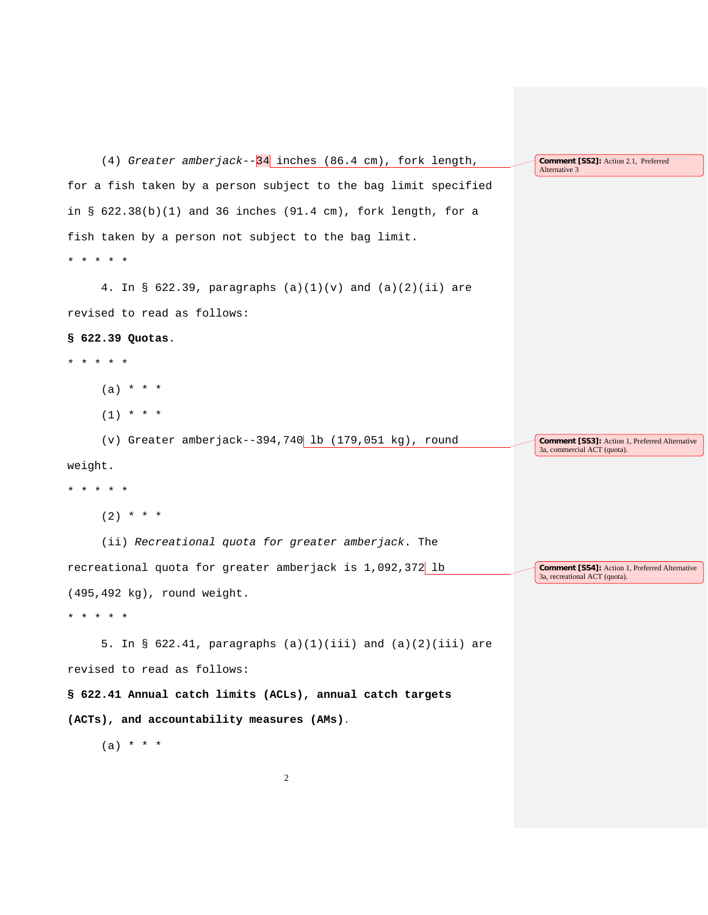(4) *Greater amberjack*--34 inches (86.4 cm), fork length, for a fish taken by a person subject to the bag limit specified in  $\S$  622.38(b)(1) and 36 inches (91.4 cm), fork length, for a fish taken by a person not subject to the bag limit. \* \* \* \* \* 4. In § 622.39, paragraphs (a)(1)(v) and (a)(2)(ii) are revised to read as follows: **§ 622.39 Quotas**. \* \* \* \* \* (a) \* \* \*  $(1)$  \* \* \* (v) Greater amberjack--394,740 lb  $(179, 051 \text{ kg})$ , round weight. \* \* \* \* \*  $(2)$  \* \* \* (ii) *Recreational quota for greater amberjack*. The recreational quota for greater amberjack is 1,092,372 lb (495,492 kg), round weight. \* \* \* \* \* 5. In § 622.41, paragraphs  $(a)(1)(iii)$  and  $(a)(2)(iii)$  are revised to read as follows: **§ 622.41 Annual catch limits (ACLs), annual catch targets (ACTs), and accountability measures (AMs)**.  $(a) * * * *$ **Comment [SS2]:** Action 2.1, Preferred Alternative 3 **Comment [SS3]:** Action 1, Preferred Alternative 3a, commercial ACT (quota). **Comment [SS4]:** Action 1, Preferred Alternative 3a, recreational ACT (quota). 2